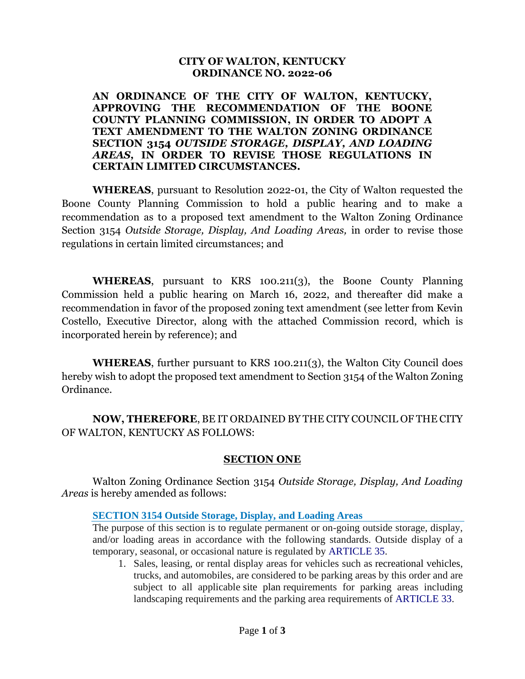#### **CITY OF WALTON, KENTUCKY ORDINANCE NO. 2022-06**

**AN ORDINANCE OF THE CITY OF WALTON, KENTUCKY, APPROVING THE RECOMMENDATION OF THE BOONE COUNTY PLANNING COMMISSION, IN ORDER TO ADOPT A TEXT AMENDMENT TO THE WALTON ZONING ORDINANCE SECTION 3154** *OUTSIDE STORAGE, DISPLAY, AND LOADING AREAS,* **IN ORDER TO REVISE THOSE REGULATIONS IN CERTAIN LIMITED CIRCUMSTANCES.**

**WHEREAS**, pursuant to Resolution 2022-01, the City of Walton requested the Boone County Planning Commission to hold a public hearing and to make a recommendation as to a proposed text amendment to the Walton Zoning Ordinance Section 3154 *Outside Storage, Display, And Loading Areas,* in order to revise those regulations in certain limited circumstances; and

**WHEREAS**, pursuant to KRS 100.211(3), the Boone County Planning Commission held a public hearing on March 16, 2022, and thereafter did make a recommendation in favor of the proposed zoning text amendment (see letter from Kevin Costello, Executive Director, along with the attached Commission record, which is incorporated herein by reference); and

**WHEREAS**, further pursuant to KRS 100.211(3), the Walton City Council does hereby wish to adopt the proposed text amendment to Section 3154 of the Walton Zoning Ordinance.

**NOW, THEREFORE**, BE IT ORDAINED BY THE CITY COUNCIL OF THE CITY OF WALTON, KENTUCKY AS FOLLOWS:

# **SECTION ONE**

Walton Zoning Ordinance Section 3154 *Outside Storage, Display, And Loading Areas* is hereby amended as follows:

### **SECTION 3154 Outside Storage, Display, and Loading Areas**

The purpose of this section is to regulate permanent or on-going outside storage, display, and/or loading areas in accordance with the following standards. Outside display of a temporary, seasonal, or occasional nature is regulated by ARTICLE 35.

1. Sales, leasing, or rental display areas for vehicles such as recreational vehicles, trucks, and automobiles, are considered to be parking areas by this order and are subject to all applicable site plan requirements for parking areas including landscaping requirements and the parking area requirements of ARTICLE 33.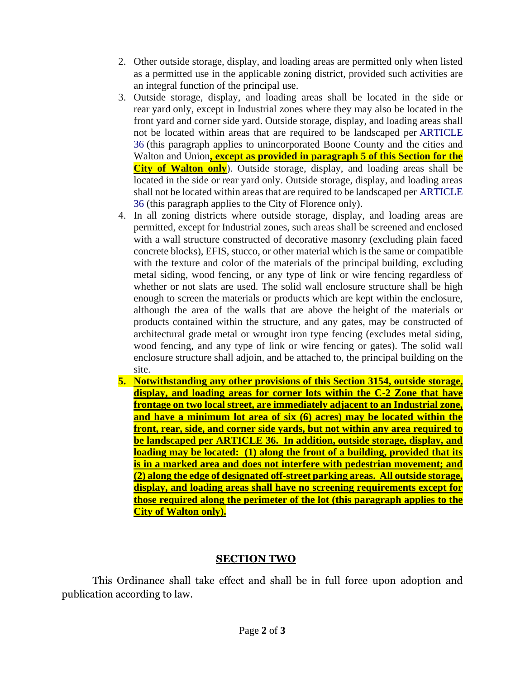- 2. Other outside storage, display, and loading areas are permitted only when listed as a permitted use in the applicable zoning district, provided such activities are an integral function of the principal use.
- 3. Outside storage, display, and loading areas shall be located in the side or rear yard only, except in Industrial zones where they may also be located in the front yard and corner side yard. Outside storage, display, and loading areas shall not be located within areas that are required to be landscaped per ARTICLE 36 (this paragraph applies to unincorporated Boone County and the cities and Walton and Union**, except as provided in paragraph 5 of this Section for the City of Walton only**). Outside storage, display, and loading areas shall be located in the side or rear yard only. Outside storage, display, and loading areas shall not be located within areas that are required to be landscaped per ARTICLE 36 (this paragraph applies to the City of Florence only).
- 4. In all zoning districts where outside storage, display, and loading areas are permitted, except for Industrial zones, such areas shall be screened and enclosed with a wall structure constructed of decorative masonry (excluding plain faced concrete blocks), EFIS, stucco, or other material which is the same or compatible with the texture and color of the materials of the principal building, excluding metal siding, wood fencing, or any type of link or wire fencing regardless of whether or not slats are used. The solid wall enclosure structure shall be high enough to screen the materials or products which are kept within the enclosure, although the area of the walls that are above the height of the materials or products contained within the structure, and any gates, may be constructed of architectural grade metal or wrought iron type fencing (excludes metal siding, wood fencing, and any type of link or wire fencing or gates). The solid wall enclosure structure shall adjoin, and be attached to, the principal building on the site.
- **5. Notwithstanding any other provisions of this Section 3154, outside storage, display, and loading areas for corner lots within the C-2 Zone that have frontage on two local street, are immediately adjacent to an Industrial zone, and have a minimum lot area of six (6) acres) may be located within the front, rear, side, and corner side yards, but not within any area required to be landscaped per ARTICLE 36. In addition, outside storage, display, and loading may be located: (1) along the front of a building, provided that its is in a marked area and does not interfere with pedestrian movement; and (2) along the edge of designated off-street parking areas. All outside storage, display, and loading areas shall have no screening requirements except for those required along the perimeter of the lot (this paragraph applies to the City of Walton only).**

# **SECTION TWO**

This Ordinance shall take effect and shall be in full force upon adoption and publication according to law.